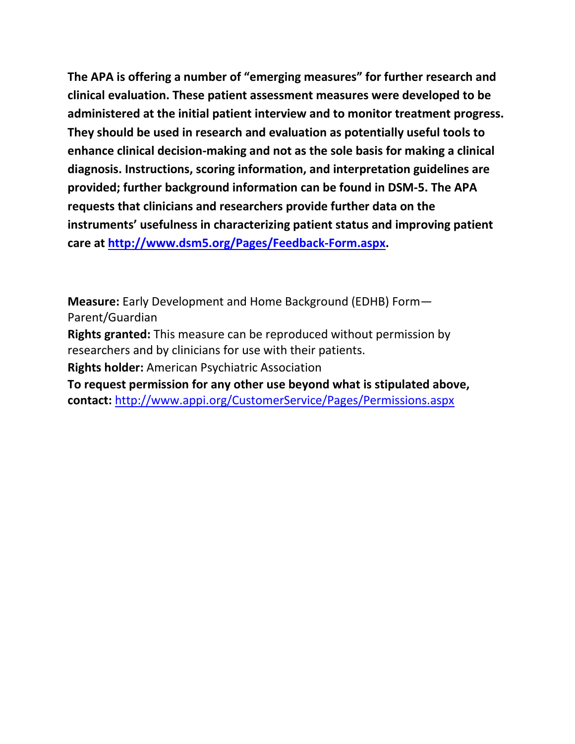**The APA is offering a number of "emerging measures" for further research and clinical evaluation. These patient assessment measures were developed to be administered at the initial patient interview and to monitor treatment progress. They should be used in research and evaluation as potentially useful tools to enhance clinical decision-making and not as the sole basis for making a clinical diagnosis. Instructions, scoring information, and interpretation guidelines are provided; further background information can be found in DSM-5. The APA requests that clinicians and researchers provide further data on the instruments' usefulness in characterizing patient status and improving patient care at [http://www.dsm5.org/Pages/Feedback-Form.aspx.](http://www.dsm5.org/Pages/Feedback-Form.aspx)**

**Measure:** Early Development and Home Background (EDHB) Form— Parent/Guardian

**Rights granted:** This measure can be reproduced without permission by researchers and by clinicians for use with their patients.

**Rights holder:** American Psychiatric Association

**To request permission for any other use beyond what is stipulated above, contact:** <http://www.appi.org/CustomerService/Pages/Permissions.aspx>